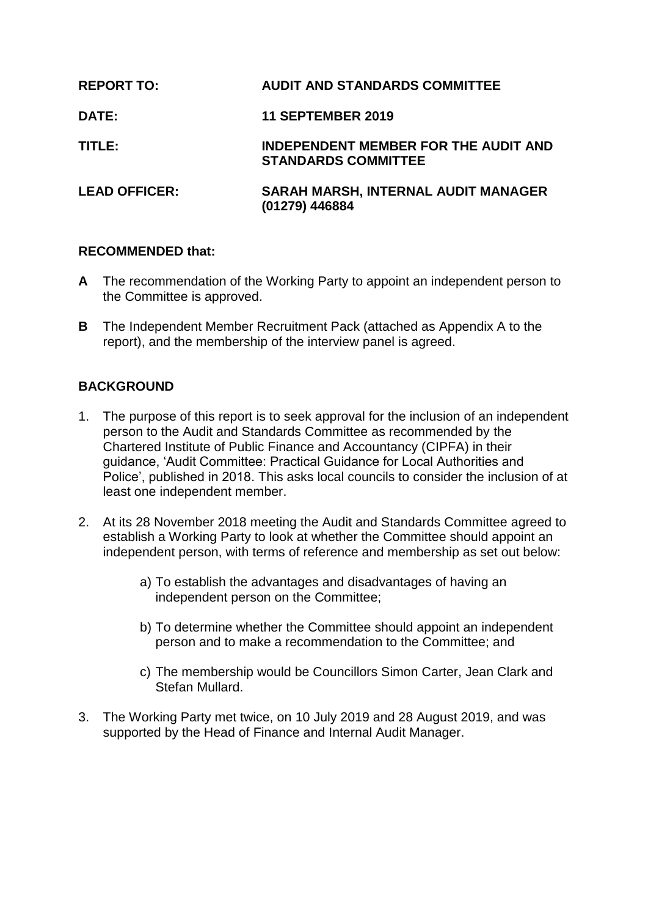| <b>REPORT TO:</b>    | <b>AUDIT AND STANDARDS COMMITTEE</b>                                      |
|----------------------|---------------------------------------------------------------------------|
| <b>DATE:</b>         | <b>11 SEPTEMBER 2019</b>                                                  |
| TITLE:               | <b>INDEPENDENT MEMBER FOR THE AUDIT AND</b><br><b>STANDARDS COMMITTEE</b> |
| <b>LEAD OFFICER:</b> | <b>SARAH MARSH, INTERNAL AUDIT MANAGER</b><br>(01279) 446884              |

#### **RECOMMENDED that:**

- **A** The recommendation of the Working Party to appoint an independent person to the Committee is approved.
- **B** The Independent Member Recruitment Pack (attached as Appendix A to the report), and the membership of the interview panel is agreed.

### **BACKGROUND**

- 1. The purpose of this report is to seek approval for the inclusion of an independent person to the Audit and Standards Committee as recommended by the Chartered Institute of Public Finance and Accountancy (CIPFA) in their guidance, 'Audit Committee: Practical Guidance for Local Authorities and Police', published in 2018. This asks local councils to consider the inclusion of at least one independent member.
- 2. At its 28 November 2018 meeting the Audit and Standards Committee agreed to establish a Working Party to look at whether the Committee should appoint an independent person, with terms of reference and membership as set out below:
	- a) To establish the advantages and disadvantages of having an independent person on the Committee;
	- b) To determine whether the Committee should appoint an independent person and to make a recommendation to the Committee; and
	- c) The membership would be Councillors Simon Carter, Jean Clark and Stefan Mullard.
- 3. The Working Party met twice, on 10 July 2019 and 28 August 2019, and was supported by the Head of Finance and Internal Audit Manager.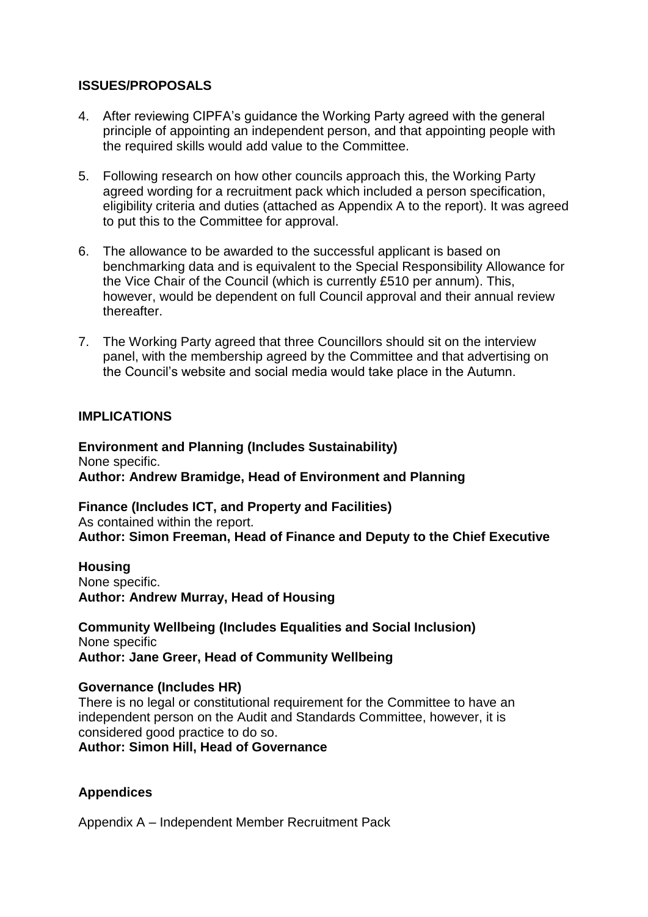#### **ISSUES/PROPOSALS**

- 4. After reviewing CIPFA's guidance the Working Party agreed with the general principle of appointing an independent person, and that appointing people with the required skills would add value to the Committee.
- 5. Following research on how other councils approach this, the Working Party agreed wording for a recruitment pack which included a person specification, eligibility criteria and duties (attached as Appendix A to the report). It was agreed to put this to the Committee for approval.
- 6. The allowance to be awarded to the successful applicant is based on benchmarking data and is equivalent to the Special Responsibility Allowance for the Vice Chair of the Council (which is currently £510 per annum). This, however, would be dependent on full Council approval and their annual review thereafter.
- 7. The Working Party agreed that three Councillors should sit on the interview panel, with the membership agreed by the Committee and that advertising on the Council's website and social media would take place in the Autumn.

#### **IMPLICATIONS**

**Environment and Planning (Includes Sustainability)** None specific. **Author: Andrew Bramidge, Head of Environment and Planning**

**Finance (Includes ICT, and Property and Facilities)** As contained within the report. **Author: Simon Freeman, Head of Finance and Deputy to the Chief Executive**

**Housing** None specific. **Author: Andrew Murray, Head of Housing**

**Community Wellbeing (Includes Equalities and Social Inclusion)** None specific **Author: Jane Greer, Head of Community Wellbeing**

#### **Governance (Includes HR)**

There is no legal or constitutional requirement for the Committee to have an independent person on the Audit and Standards Committee, however, it is considered good practice to do so.

**Author: Simon Hill, Head of Governance**

### **Appendices**

Appendix A – Independent Member Recruitment Pack